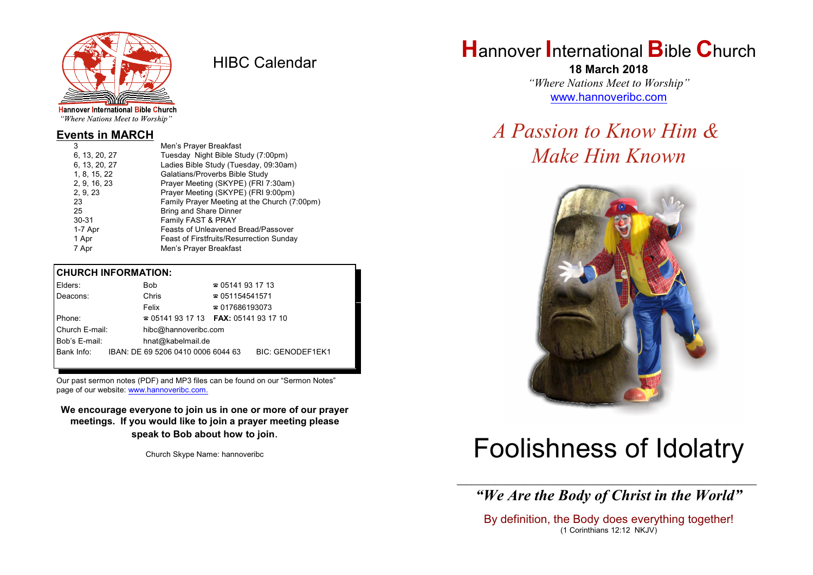

HIBC Calendar

"Where Nations Meet to Worship"

#### **Events in MARCH**

| 3             | Men's Prayer Breakfast                          |
|---------------|-------------------------------------------------|
| 6, 13, 20, 27 | Tuesday Night Bible Study (7:00pm)              |
| 6, 13, 20, 27 | Ladies Bible Study (Tuesday, 09:30am)           |
| 1, 8, 15, 22  | Galatians/Proverbs Bible Study                  |
| 2, 9, 16, 23  | Prayer Meeting (SKYPE) (FRI 7:30am)             |
| 2, 9, 23      | Prayer Meeting (SKYPE) (FRI 9:00pm)             |
| 23            | Family Prayer Meeting at the Church (7:00pm)    |
| 25            | <b>Bring and Share Dinner</b>                   |
| $30 - 31$     | Family FAST & PRAY                              |
| 1-7 Apr       | Feasts of Unleavened Bread/Passover             |
| 1 Apr         | <b>Feast of Firstfruits/Resurrection Sunday</b> |
| 7 Apr         | Men's Prayer Breakfast                          |
|               |                                                 |

#### **CHURCH INFORMATION:**

| Elders:        | <b>Bob</b>                               | $\approx 05141931713$  |                         |
|----------------|------------------------------------------|------------------------|-------------------------|
| Deacons:       | Chris                                    | $\approx 051154541571$ |                         |
|                | Felix                                    | $\approx 017686193073$ |                         |
| Phone:         | $\approx 05141931713$ FAX: 0514193 17 10 |                        |                         |
| Church E-mail: | hibc@hannoveribc.com                     |                        |                         |
| Bob's E-mail:  | hnat@kabelmail.de                        |                        |                         |
| Bank Info:     | IBAN: DE 69 5206 0410 0006 6044 63       |                        | <b>BIC: GENODEF1EK1</b> |
|                |                                          |                        |                         |

Our past sermon notes (PDF) and MP3 files can be found on our "Sermon Notes" page of our website: [www.hannoveribc.com.](http://www.hannoveribc.com.)

**We encourage everyone to join us in one or more of our prayer meetings. If you would like to join a prayer meeting please speak to Bob about how to join**.

Church Skype Name: hannoveribc

# **H**annover **I**nternational **B**ible **C**hurch

**18 March 2018** *"Where Nations Meet to Worship"* [www.hannoveribc.com](http://www.hannoveribc.com)

# *A Passion to Know Him & Make Him Known*



# Foolishness of Idolatry

\_\_\_\_\_\_\_\_\_\_\_\_\_\_\_\_\_\_\_\_\_\_\_\_\_\_\_\_\_\_\_\_\_\_\_\_\_\_\_\_\_\_\_\_\_\_\_\_\_\_\_\_\_\_\_\_\_\_\_\_\_\_ *"We Are the Body of Christ in the World"*

By definition, the Body does everything together! (1 Corinthians 12:12 NKJV)